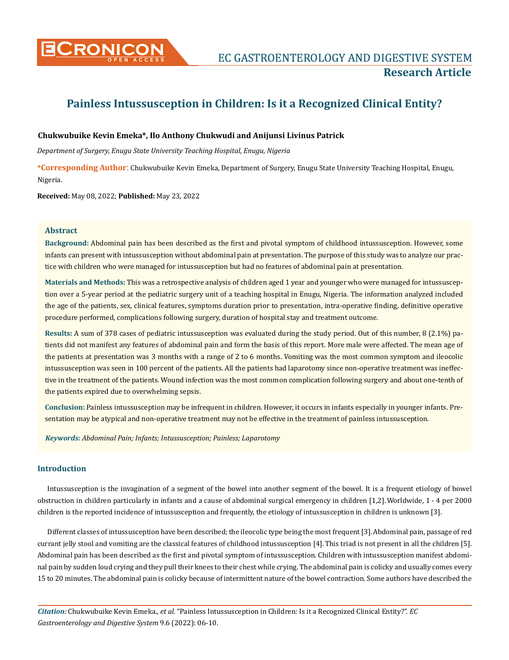

# **Painless Intussusception in Children: Is it a Recognized Clinical Entity?**

# **Chukwubuike Kevin Emeka\*, Ilo Anthony Chukwudi and Anijunsi Livinus Patrick**

*Department of Surgery, Enugu State University Teaching Hospital, Enugu, Nigeria*

**\*Corresponding Author**: Chukwubuike Kevin Emeka, Department of Surgery, Enugu State University Teaching Hospital, Enugu, Nigeria.

**Received:** May 08, 2022; **Published:** May 23, 2022

## **Abstract**

**Background:** Abdominal pain has been described as the first and pivotal symptom of childhood intussusception. However, some infants can present with intussusception without abdominal pain at presentation. The purpose of this study was to analyze our practice with children who were managed for intussusception but had no features of abdominal pain at presentation.

**Materials and Methods:** This was a retrospective analysis of children aged 1 year and younger who were managed for intussusception over a 5-year period at the pediatric surgery unit of a teaching hospital in Enugu, Nigeria. The information analyzed included the age of the patients, sex, clinical features, symptoms duration prior to presentation, intra-operative finding, definitive operative procedure performed, complications following surgery, duration of hospital stay and treatment outcome.

**Results:** A sum of 378 cases of pediatric intussusception was evaluated during the study period. Out of this number, 8 (2.1%) patients did not manifest any features of abdominal pain and form the basis of this report. More male were affected. The mean age of the patients at presentation was 3 months with a range of 2 to 6 months. Vomiting was the most common symptom and ileocolic intussusception was seen in 100 percent of the patients. All the patients had laparotomy since non-operative treatment was ineffective in the treatment of the patients. Wound infection was the most common complication following surgery and about one-tenth of the patients expired due to overwhelming sepsis.

**Conclusion:** Painless intussusception may be infrequent in children. However, it occurs in infants especially in younger infants. Presentation may be atypical and non-operative treatment may not be effective in the treatment of painless intussusception.

*Keywords: Abdominal Pain; Infants; Intussusception; Painless; Laparotomy*

# **Introduction**

Intussusception is the invagination of a segment of the bowel into another segment of the bowel. It is a frequent etiology of bowel obstruction in children particularly in infants and a cause of abdominal surgical emergency in children [1,2].Worldwide, 1 - 4 per 2000 children is the reported incidence of intussusception and frequently, the etiology of intussusception in children is unknown [3].

Different classes of intussusception have been described; the ileocolic type being the most frequent [3].Abdominal pain, passage of red currant jelly stool and vomiting are the classical features of childhood intussusception [4].This triad is not present in all the children [5]. Abdominal pain has been described as the first and pivotal symptom of intussusception. Children with intussusception manifest abdominal pain by sudden loud crying and they pull their knees to their chest while crying. The abdominal pain is colicky and usually comes every 15 to 20 minutes. The abdominal pain is colicky because of intermittent nature of the bowel contraction. Some authors have described the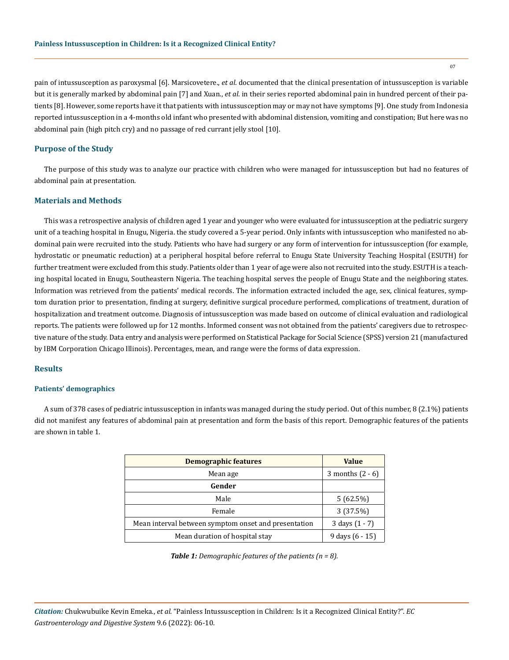pain of intussusception as paroxysmal [6]. Marsicovetere., *et al*. documented that the clinical presentation of intussusception is variable but it is generally marked by abdominal pain [7] and Xuan., *et al*. in their series reported abdominal pain in hundred percent of their patients [8]. However, some reports have it that patients with intussusception may or may not have symptoms [9]. One study from Indonesia reported intussusception in a 4-months old infant who presented with abdominal distension, vomiting and constipation; But here was no abdominal pain (high pitch cry) and no passage of red currant jelly stool [10].

### **Purpose of the Study**

The purpose of this study was to analyze our practice with children who were managed for intussusception but had no features of abdominal pain at presentation.

# **Materials and Methods**

This was a retrospective analysis of children aged 1 year and younger who were evaluated for intussusception at the pediatric surgery unit of a teaching hospital in Enugu, Nigeria. the study covered a 5-year period. Only infants with intussusception who manifested no abdominal pain were recruited into the study. Patients who have had surgery or any form of intervention for intussusception (for example, hydrostatic or pneumatic reduction) at a peripheral hospital before referral to Enugu State University Teaching Hospital (ESUTH) for further treatment were excluded from this study. Patients older than 1 year of age were also not recruited into the study. ESUTH is a teaching hospital located in Enugu, Southeastern Nigeria. The teaching hospital serves the people of Enugu State and the neighboring states. Information was retrieved from the patients' medical records. The information extracted included the age, sex, clinical features, symptom duration prior to presentation, finding at surgery, definitive surgical procedure performed, complications of treatment, duration of hospitalization and treatment outcome. Diagnosis of intussusception was made based on outcome of clinical evaluation and radiological reports. The patients were followed up for 12 months. Informed consent was not obtained from the patients' caregivers due to retrospective nature of the study. Data entry and analysis were performed on Statistical Package for Social Science (SPSS) version 21 (manufactured by IBM Corporation Chicago Illinois). Percentages, mean, and range were the forms of data expression.

#### **Results**

#### **Patients' demographics**

A sum of 378 cases of pediatric intussusception in infants was managed during the study period. Out of this number, 8 (2.1%) patients did not manifest any features of abdominal pain at presentation and form the basis of this report. Demographic features of the patients are shown in table 1.

| <b>Demographic features</b>                          | <b>Value</b>       |
|------------------------------------------------------|--------------------|
| Mean age                                             | 3 months $(2 - 6)$ |
| Gender                                               |                    |
| Male                                                 | 5(62.5%)           |
| Female                                               | 3(37.5%)           |
| Mean interval between symptom onset and presentation | 3 days $(1 - 7)$   |
| Mean duration of hospital stay                       | 9 days $(6 - 15)$  |

*Table 1: Demographic features of the patients (n = 8).*

07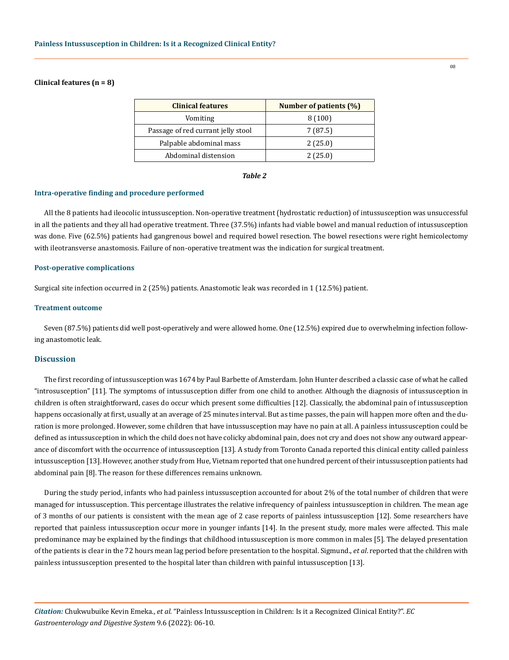## **Clinical features (n = 8)**

| <b>Clinical features</b>           | Number of patients (%) |
|------------------------------------|------------------------|
| Vomiting                           | 8(100)                 |
| Passage of red currant jelly stool | 7 (87.5)               |
| Palpable abdominal mass            | 2(25.0)                |
| Abdominal distension               | 2(25.0)                |

#### *Table 2*

#### **Intra-operative finding and procedure performed**

All the 8 patients had ileocolic intussusception. Non-operative treatment (hydrostatic reduction) of intussusception was unsuccessful in all the patients and they all had operative treatment. Three (37.5%) infants had viable bowel and manual reduction of intussusception was done. Five (62.5%) patients had gangrenous bowel and required bowel resection. The bowel resections were right hemicolectomy with ileotransverse anastomosis. Failure of non-operative treatment was the indication for surgical treatment.

#### **Post-operative complications**

Surgical site infection occurred in 2 (25%) patients. Anastomotic leak was recorded in 1 (12.5%) patient.

### **Treatment outcome**

Seven (87.5%) patients did well post-operatively and were allowed home. One (12.5%) expired due to overwhelming infection following anastomotic leak.

# **Discussion**

The first recording of intussusception was 1674 by Paul Barbette of Amsterdam. John Hunter described a classic case of what he called "introsusception" [11]. The symptoms of intussusception differ from one child to another. Although the diagnosis of intussusception in children is often straightforward, cases do occur which present some difficulties [12]. Classically, the abdominal pain of intussusception happens occasionally at first, usually at an average of 25 minutes interval. But as time passes, the pain will happen more often and the duration is more prolonged. However, some children that have intussusception may have no pain at all. A painless intussusception could be defined as intussusception in which the child does not have colicky abdominal pain, does not cry and does not show any outward appearance of discomfort with the occurrence of intussusception [13]. A study from Toronto Canada reported this clinical entity called painless intussusception [13]. However, another study from Hue, Vietnam reported that one hundred percent of their intussusception patients had abdominal pain [8]. The reason for these differences remains unknown.

During the study period, infants who had painless intussusception accounted for about 2% of the total number of children that were managed for intussusception. This percentage illustrates the relative infrequency of painless intussusception in children. The mean age of 3 months of our patients is consistent with the mean age of 2 case reports of painless intussusception [12]. Some researchers have reported that painless intussusception occur more in younger infants [14]. In the present study, more males were affected. This male predominance may be explained by the findings that childhood intussusception is more common in males [5]. The delayed presentation of the patients is clear in the 72 hours mean lag period before presentation to the hospital. Sigmund., *et al*. reported that the children with painless intussusception presented to the hospital later than children with painful intussusception [13].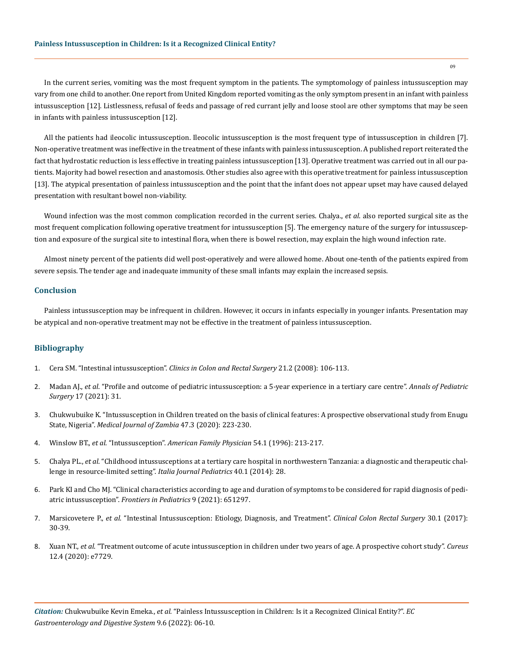In the current series, vomiting was the most frequent symptom in the patients. The symptomology of painless intussusception may vary from one child to another. One report from United Kingdom reported vomiting as the only symptom present in an infant with painless intussusception [12]. Listlessness, refusal of feeds and passage of red currant jelly and loose stool are other symptoms that may be seen in infants with painless intussusception [12].

All the patients had ileocolic intussusception. Ileocolic intussusception is the most frequent type of intussusception in children [7]. Non-operative treatment was ineffective in the treatment of these infants with painless intussusception. A published report reiterated the fact that hydrostatic reduction is less effective in treating painless intussusception [13]. Operative treatment was carried out in all our patients. Majority had bowel resection and anastomosis. Other studies also agree with this operative treatment for painless intussusception [13]. The atypical presentation of painless intussusception and the point that the infant does not appear upset may have caused delayed presentation with resultant bowel non-viability.

Wound infection was the most common complication recorded in the current series. Chalya., *et al*. also reported surgical site as the most frequent complication following operative treatment for intussusception [5]. The emergency nature of the surgery for intussusception and exposure of the surgical site to intestinal flora, when there is bowel resection, may explain the high wound infection rate.

Almost ninety percent of the patients did well post-operatively and were allowed home. About one-tenth of the patients expired from severe sepsis. The tender age and inadequate immunity of these small infants may explain the increased sepsis.

#### **Conclusion**

Painless intussusception may be infrequent in children. However, it occurs in infants especially in younger infants. Presentation may be atypical and non-operative treatment may not be effective in the treatment of painless intussusception.

# **Bibliography**

- 1. Cera SM. "Intestinal intussusception". *[Clinics in Colon and Rectal Surgery](https://pubmed.ncbi.nlm.nih.gov/20011406/)* 21.2 (2008): 106-113.
- 2. Madan AJ., *et al*[. "Profile and outcome of pediatric intussusception: a 5-year experience in a tertiary care centre".](https://link.springer.com/article/10.1186/s43159-021-00097-5) *Annals of Pediatric Surgery* [17 \(2021\): 31.](https://link.springer.com/article/10.1186/s43159-021-00097-5)
- 3. [Chukwubuike K. "Intussusception in Children treated on the basis of clinical features: A prospective observational study from Enugu](https://mjz.co.zm/index.php/mjz/article/view/716) State, Nigeria". *[Medical Journal of Zambia](https://mjz.co.zm/index.php/mjz/article/view/716)* 47.3 (2020): 223-230.
- 4. Winslow BT., *et al*. "Intussusception". *[American Family Physician](https://pubmed.ncbi.nlm.nih.gov/8677837/)* 54.1 (1996): 213-217.
- 5. Chalya PL., *et al*[. "Childhood intussusceptions at a tertiary care hospital in northwestern Tanzania: a diagnostic and therapeutic chal](https://pubmed.ncbi.nlm.nih.gov/24618338/)[lenge in resource-limited setting".](https://pubmed.ncbi.nlm.nih.gov/24618338/) *Italia Journal Pediatrics* 40.1 (2014): 28.
- 6. [Park KI and Cho MJ. "Clinical characteristics according to age and duration of symptoms to be considered for rapid diagnosis of pedi](https://pubmed.ncbi.nlm.nih.gov/33869118/)atric intussusception". *[Frontiers in Pediatrics](https://pubmed.ncbi.nlm.nih.gov/33869118/)* 9 (2021): 651297.
- 7. Marsicovetere P., *et al*[. "Intestinal Intussusception: Etiology, Diagnosis, and Treatment".](https://pubmed.ncbi.nlm.nih.gov/28144210/) *Clinical Colon Rectal Surgery* 30.1 (2017): [30-39.](https://pubmed.ncbi.nlm.nih.gov/28144210/)
- 8. Xuan NT., *et al*[. "Treatment outcome of acute intussusception in children under two years of age. A prospective cohort study".](https://www.ncbi.nlm.nih.gov/pmc/articles/PMC7234032/) *Cureus* [12.4 \(2020\): e7729.](https://www.ncbi.nlm.nih.gov/pmc/articles/PMC7234032/)

09